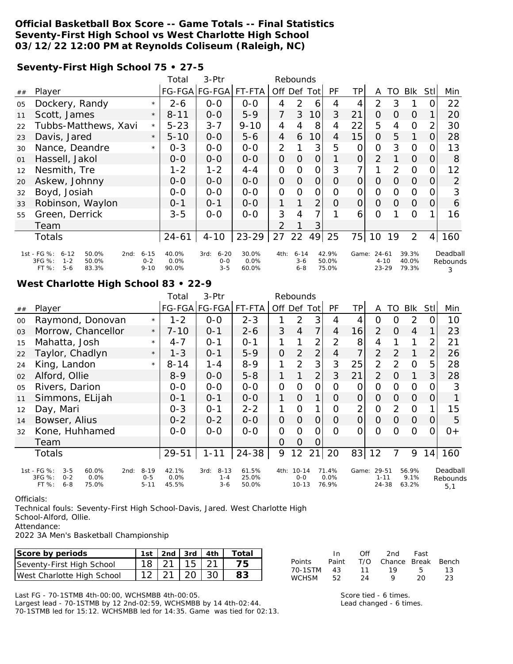#### **Official Basketball Box Score -- Game Totals -- Final Statistics Seventy-First High School vs West Charlotte High School 03/12/22 12:00 PM at Reynolds Coliseum (Raleigh, NC)**

**Seventy-First High School 75 • 27-5**

|    |                                                                                                       |                                 | Total                  | 3-Ptr                                  |                        |                | Rebounds                     |                |                         |                |                                    |          |                         |          |                           |
|----|-------------------------------------------------------------------------------------------------------|---------------------------------|------------------------|----------------------------------------|------------------------|----------------|------------------------------|----------------|-------------------------|----------------|------------------------------------|----------|-------------------------|----------|---------------------------|
| ## | Player                                                                                                |                                 |                        | FG-FGA FG-FGA                          | FT-FTA                 | Off Def Tot    |                              |                | PF                      | ΤP             | A                                  | TO       | Blk                     | Stll     | Min                       |
| 05 | Dockery, Randy                                                                                        | $\star$                         | $2 - 6$                | $0 - 0$                                | $0 - 0$                | 4              | $\mathcal{P}$                | 6              | 4                       | 4              | $\overline{2}$                     | 3        |                         | O        | 22                        |
| 11 | Scott, James                                                                                          | $\star$                         | $8 - 11$               | $0 - 0$                                | $5-9$                  | $\overline{7}$ | 3                            | 10             | 3                       | 21             | $\overline{O}$                     | $\Omega$ | $\Omega$                |          | 20                        |
| 22 | Tubbs-Matthews, Xavi                                                                                  | $\star$                         | $5 - 23$               | $3 - 7$                                | $9 - 10$               | 4              | 4                            | 8              | 4                       | 22             | 5                                  | 4        | $\Omega$                | 2        | 30                        |
| 23 | Davis, Jared                                                                                          | $\star$                         | $5 - 10$               | $O-O$                                  | $5 - 6$                | $\overline{4}$ | 6                            | 10             | 4                       | 15             | $\Omega$                           | 5        | 1                       | O        | 28                        |
| 30 | Nance, Deandre                                                                                        | $\star$                         | $0 - 3$                | $O-O$                                  | $0 - 0$                | $\overline{2}$ |                              | 3              | 5                       | 0              | $\overline{O}$                     | 3        | $\Omega$                | O        | 13                        |
| 01 | Hassell, Jakol                                                                                        |                                 | $0 - 0$                | $0-0$                                  | $0-0$                  | $\overline{O}$ | O                            | 0              |                         | 0              | $\overline{2}$                     |          | $\Omega$                | O        | 8                         |
| 12 | Nesmith, Tre                                                                                          |                                 | $1 - 2$                | $1 - 2$                                | $4 - 4$                | 0              | Ο                            | 0              | 3                       | 7              |                                    | 2        | $\Omega$                | O        | 12                        |
| 20 | Askew, Johnny                                                                                         |                                 | $0 - 0$                | $0 - 0$                                | $O-O$                  | $\overline{O}$ | $\overline{O}$               | $\overline{O}$ | O                       | $\overline{O}$ | 0                                  | 0        | $\Omega$                | 0        | $\overline{2}$            |
| 32 | Boyd, Josiah                                                                                          |                                 | $0-0$                  | $0 - 0$                                | $0-0$                  | 0              | O                            | 0              | 0                       | 0              | $\Omega$                           | $\Omega$ | $\mathbf{O}$            | O        | 3                         |
| 33 | Robinson, Waylon                                                                                      |                                 | $0 - 1$                | $0 - 1$                                | $0 - 0$                | 1              |                              | $\overline{2}$ | O                       | 0              | $\Omega$                           | $\Omega$ | $\Omega$                | $\Omega$ | 6                         |
| 55 | Green, Derrick                                                                                        |                                 | $3 - 5$                | $0 - 0$                                | $0 - 0$                | 3              | 4                            | 7              |                         | 6              | $\Omega$                           |          | $\Omega$                |          | 16                        |
|    | Team                                                                                                  |                                 |                        |                                        |                        | 2              | 1                            | 3              |                         |                |                                    |          |                         |          |                           |
|    | Totals                                                                                                |                                 | $24 - 61$              | $4 - 10$                               | $23 - 29$              | 27             | 22                           | 49             | 25                      | 75             | 10                                 | 19       | 2                       | 4        | 160                       |
|    | 1st - FG %:<br>50.0%<br>$6 - 12$<br>2nd:<br>3FG %:<br>$1 - 2$<br>50.0%<br>$5 - 6$<br>$FT$ %:<br>83.3% | $6 - 15$<br>$0 - 2$<br>$9 - 10$ | 40.0%<br>0.0%<br>90.0% | $6 - 20$<br>3rd:<br>$0 - 0$<br>$3 - 5$ | 30.0%<br>0.0%<br>60.0% | 4th:           | $6 - 14$<br>$3-6$<br>$6 - 8$ |                | 42.9%<br>50.0%<br>75.0% | Game:          | $24 - 61$<br>$4 - 10$<br>$23 - 29$ |          | 39.3%<br>40.0%<br>79.3% |          | Deadball<br>Rebounds<br>3 |

#### **West Charlotte High School 83 • 22-9**

|                |                                                                                                 |                                 | Total                  | 3-Ptr                                |                         |             | Rebounds                        |                |                           |                |                                |                |                        |                |                             |
|----------------|-------------------------------------------------------------------------------------------------|---------------------------------|------------------------|--------------------------------------|-------------------------|-------------|---------------------------------|----------------|---------------------------|----------------|--------------------------------|----------------|------------------------|----------------|-----------------------------|
| ##             | Player                                                                                          |                                 | FG-FGA                 | FG-FGA FT-FTA                        |                         | Off Def Tot |                                 |                | PF                        | ΤP             | A                              | TO.            | Blk                    | Stll           | Min                         |
| $00\,$         | Raymond, Donovan                                                                                | $\star$                         | $1 - 2$                | $0 - 0$                              | $2 - 3$                 | 1           | 2                               | 3              | 4                         | 4              | 0                              | O              | 2                      | 0              | 10                          |
| 03             | Morrow, Chancellor                                                                              | $\star$                         | $7 - 10$               | $0 - 1$                              | $2 - 6$                 | 3           | 4                               | 7              | 4                         | 16             | $\overline{2}$                 | $\overline{O}$ | $\overline{4}$         |                | 23                          |
| 15             | Mahatta, Josh                                                                                   | $\star$                         | $4 - 7$                | $0 - 1$                              | $0 - 1$                 | 1           |                                 | 2              | 2                         | 8              | 4                              |                | 1                      | $\overline{2}$ | 21                          |
| 22             | Taylor, Chadlyn                                                                                 | $\star$                         | $1 - 3$                | $0 - 1$                              | $5 - 9$                 | 0           | $\overline{2}$                  | $\overline{2}$ | 4                         | 7              | $\overline{2}$                 | 2              | 1                      | $\overline{2}$ | 26                          |
| 24             | King, Landon                                                                                    | $\star$                         | $8 - 14$               | $1 - 4$                              | $8 - 9$                 | 1           | $\overline{2}$                  | 3              | 3                         | 25             | $\overline{2}$                 | 2              | $\Omega$               | 5              | 28                          |
| 02             | Alford, Ollie                                                                                   |                                 | $8-9$                  | $0-0$                                | $5 - 8$                 | 1           |                                 | 2              | 3                         | 21             | $\overline{2}$                 | $\Omega$       | 1                      | 3              | 28                          |
| 0 <sub>5</sub> | Rivers, Darion                                                                                  |                                 | $0-0$                  | $0-0$                                | $O-O$                   | 0           | $\mathcal{O}$                   | $\overline{O}$ | $\overline{O}$            | 0              | 0                              | O              | $\Omega$               | 0              | 3                           |
| 11             | Simmons, ELijah                                                                                 |                                 | $0 - 1$                | $0 - 1$                              | $O-O$                   | 1           | $\overline{O}$                  | 1              | $\Omega$                  | 0              | $\overline{O}$                 | 0              | $\Omega$               | 0              |                             |
| 12             | Day, Mari                                                                                       |                                 | $0 - 3$                | $O - 1$                              | $2 - 2$                 | 1           | $\Omega$                        | 1              | $\overline{O}$            | $\overline{2}$ | $\overline{O}$                 | 2              | $\Omega$               |                | 15                          |
| 14             | Bowser, Alius                                                                                   |                                 | $0 - 2$                | $0 - 2$                              | $0 - 0$                 | 0           | $\Omega$                        | $\overline{O}$ | 0                         | $\overline{O}$ | $\Omega$                       | $\Omega$       | $\Omega$               | 0              | 5                           |
| 32             | Kone, Huhhamed                                                                                  |                                 | $0-0$                  | $0 - 0$                              | $0 - 0$                 | 0           | $\Omega$                        | $\Omega$       | $\Omega$                  | 0              | $\Omega$                       | Ω              | $\circ$                | 0              | $O+$                        |
|                | Team                                                                                            |                                 |                        |                                      |                         | 0           | $\Omega$                        | 0              |                           |                |                                |                |                        |                |                             |
|                | <b>Totals</b>                                                                                   |                                 | 29-51                  | $1 - 11$                             | 24-38                   | 9           | $12 \overline{ }$               | 21             | 20                        | 83             | 12                             | 7              | 9                      | 14             | 160                         |
|                | 1st - FG %:<br>60.0%<br>$3 - 5$<br>2nd:<br>3FG %:<br>0.0%<br>$0 - 2$<br>FT%<br>$6 - 8$<br>75.0% | $8 - 19$<br>$0 - 5$<br>$5 - 11$ | 42.1%<br>0.0%<br>45.5% | $8 - 13$<br>3rd:<br>$1 - 4$<br>$3-6$ | 61.5%<br>25.0%<br>50.0% | 4th:        | $10 - 14$<br>$O-O$<br>$10 - 13$ |                | 71.4%<br>$0.0\%$<br>76.9% | Game:          | 29-51<br>$1 - 11$<br>$24 - 38$ |                | 56.9%<br>9.1%<br>63.2% |                | Deadball<br>Rebounds<br>5,1 |

Officials:

Technical fouls: Seventy-First High School-Davis, Jared. West Charlotte High

School-Alford, Ollie.

Attendance:

2022 3A Men's Basketball Championship

| Score by periods           |                     |  | 1st   2nd   3rd   4th   Total |
|----------------------------|---------------------|--|-------------------------------|
| Seventy-First High School  | $18$   21   15   21 |  |                               |
| West Charlotte High School | $12$   21   20   30 |  |                               |

In Off 2nd Fast<br>Paint T/O Chance Break Points Paint T/O Chance Break Bench 70-1STM 43 11 19 5 13 **WCHSM** 

Last FG - 70-1STMB 4th-00:00, WCHSMBB 4th-00:05.

Largest lead - 70-1STMB by 12 2nd-02:59, WCHSMBB by 14 4th-02:44. 70-1STMB led for 15:12. WCHSMBB led for 14:35. Game was tied for 02:13. Score tied - 6 times. Lead changed - 6 times.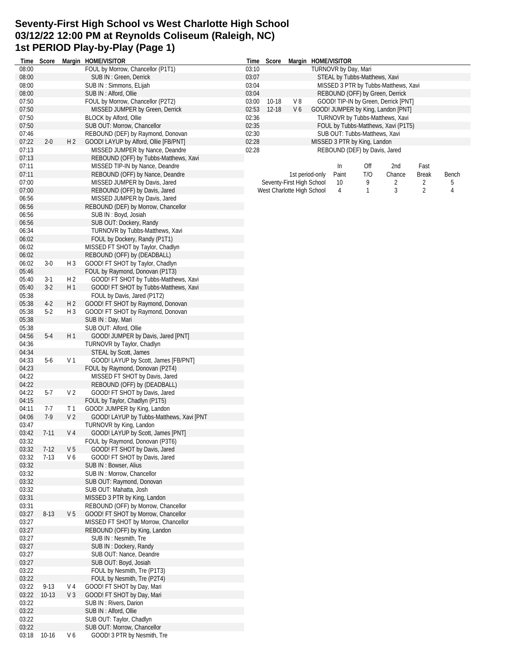# **Seventy-First High School vs West Charlotte High School 03/12/22 12:00 PM at Reynolds Coliseum (Raleigh, NC) 1st PERIOD Play-by-Play (Page 1)**

|                |                |                | Time Score Margin HOME/VISITOR                                           | Time  | Score     |                            | Margin HOME/VISITOR           |     |                                      |                |       |
|----------------|----------------|----------------|--------------------------------------------------------------------------|-------|-----------|----------------------------|-------------------------------|-----|--------------------------------------|----------------|-------|
| 08:00          |                |                | FOUL by Morrow, Chancellor (P1T1)                                        | 03:10 |           |                            | TURNOVR by Day, Mari          |     |                                      |                |       |
| 08:00          |                |                | SUB IN: Green, Derrick                                                   | 03:07 |           |                            | STEAL by Tubbs-Matthews, Xavi |     |                                      |                |       |
| 08:00          |                |                | SUB IN: Simmons, ELijah                                                  | 03:04 |           |                            |                               |     | MISSED 3 PTR by Tubbs-Matthews, Xavi |                |       |
| 08:00          |                |                | SUB IN : Alford, Ollie                                                   | 03:04 |           |                            |                               |     | REBOUND (OFF) by Green, Derrick      |                |       |
| 07:50          |                |                | FOUL by Morrow, Chancellor (P2T2)                                        | 03:00 | $10 - 18$ | V8                         |                               |     | GOOD! TIP-IN by Green, Derrick [PNT] |                |       |
| 07:50          |                |                | MISSED JUMPER by Green, Derrick                                          | 02:53 | $12 - 18$ | V6                         |                               |     | GOOD! JUMPER by King, Landon [PNT]   |                |       |
| 07:50          |                |                | <b>BLOCK by Alford, Ollie</b>                                            | 02:36 |           |                            |                               |     | TURNOVR by Tubbs-Matthews, Xavi      |                |       |
| 07:50          |                |                | SUB OUT: Morrow, Chancellor                                              | 02:35 |           |                            |                               |     | FOUL by Tubbs-Matthews, Xavi (P1T5)  |                |       |
| 07:46          |                |                | REBOUND (DEF) by Raymond, Donovan                                        | 02:30 |           |                            | SUB OUT: Tubbs-Matthews, Xavi |     |                                      |                |       |
| 07:22          | $2 - 0$        | H <sub>2</sub> | GOOD! LAYUP by Alford, Ollie [FB/PNT]                                    | 02:28 |           |                            | MISSED 3 PTR by King, Landon  |     |                                      |                |       |
| 07:13          |                |                | MISSED JUMPER by Nance, Deandre                                          | 02:28 |           |                            | REBOUND (DEF) by Davis, Jared |     |                                      |                |       |
| 07:13          |                |                | REBOUND (OFF) by Tubbs-Matthews, Xavi                                    |       |           |                            |                               |     |                                      |                |       |
| 07:11          |                |                | MISSED TIP-IN by Nance, Deandre                                          |       |           |                            | In                            | Off | 2nd                                  | Fast           |       |
| 07:11          |                |                | REBOUND (OFF) by Nance, Deandre                                          |       |           | 1st period-only            | Paint                         | T/O | Chance                               | <b>Break</b>   | Bench |
| 07:00          |                |                | MISSED JUMPER by Davis, Jared                                            |       |           | Seventy-First High School  | 10 <sup>°</sup>               | 9   | 2                                    | 2              | 5     |
| 07:00          |                |                | REBOUND (OFF) by Davis, Jared                                            |       |           | West Charlotte High School | 4                             | 1   | 3                                    | $\overline{2}$ | 4     |
| 06:56          |                |                | MISSED JUMPER by Davis, Jared                                            |       |           |                            |                               |     |                                      |                |       |
| 06:56          |                |                | REBOUND (DEF) by Morrow, Chancellor                                      |       |           |                            |                               |     |                                      |                |       |
| 06:56          |                |                | SUB IN: Boyd, Josiah                                                     |       |           |                            |                               |     |                                      |                |       |
| 06:56          |                |                | SUB OUT: Dockery, Randy                                                  |       |           |                            |                               |     |                                      |                |       |
| 06:34          |                |                | TURNOVR by Tubbs-Matthews, Xavi                                          |       |           |                            |                               |     |                                      |                |       |
| 06:02          |                |                | FOUL by Dockery, Randy (P1T1)                                            |       |           |                            |                               |     |                                      |                |       |
| 06:02          |                |                | MISSED FT SHOT by Taylor, Chadlyn                                        |       |           |                            |                               |     |                                      |                |       |
| 06:02          |                |                | REBOUND (OFF) by (DEADBALL)                                              |       |           |                            |                               |     |                                      |                |       |
| 06:02          | $3-0$          | H <sub>3</sub> | GOOD! FT SHOT by Taylor, Chadlyn                                         |       |           |                            |                               |     |                                      |                |       |
| 05:46          |                | H <sub>2</sub> | FOUL by Raymond, Donovan (P1T3)<br>GOOD! FT SHOT by Tubbs-Matthews, Xavi |       |           |                            |                               |     |                                      |                |       |
| 05:40<br>05:40 | $3-1$<br>$3-2$ | H <sub>1</sub> |                                                                          |       |           |                            |                               |     |                                      |                |       |
| 05:38          |                |                | GOOD! FT SHOT by Tubbs-Matthews, Xavi<br>FOUL by Davis, Jared (P1T2)     |       |           |                            |                               |     |                                      |                |       |
| 05:38          | $4-2$          | H 2            | GOOD! FT SHOT by Raymond, Donovan                                        |       |           |                            |                               |     |                                      |                |       |
| 05:38          | $5-2$          | H <sub>3</sub> |                                                                          |       |           |                            |                               |     |                                      |                |       |
| 05:38          |                |                | GOOD! FT SHOT by Raymond, Donovan<br>SUB IN: Day, Mari                   |       |           |                            |                               |     |                                      |                |       |
| 05:38          |                |                | SUB OUT: Alford, Ollie                                                   |       |           |                            |                               |     |                                      |                |       |
| 04:56          | $5-4$          | H 1            | GOOD! JUMPER by Davis, Jared [PNT]                                       |       |           |                            |                               |     |                                      |                |       |
| 04:36          |                |                | TURNOVR by Taylor, Chadlyn                                               |       |           |                            |                               |     |                                      |                |       |
| 04:34          |                |                | STEAL by Scott, James                                                    |       |           |                            |                               |     |                                      |                |       |
| 04:33          | $5-6$          | V 1            | GOOD! LAYUP by Scott, James [FB/PNT]                                     |       |           |                            |                               |     |                                      |                |       |
| 04:23          |                |                | FOUL by Raymond, Donovan (P2T4)                                          |       |           |                            |                               |     |                                      |                |       |
| 04:22          |                |                | MISSED FT SHOT by Davis, Jared                                           |       |           |                            |                               |     |                                      |                |       |
| 04:22          |                |                | REBOUND (OFF) by (DEADBALL)                                              |       |           |                            |                               |     |                                      |                |       |
| 04:22          | $5-7$          | V <sub>2</sub> | GOOD! FT SHOT by Davis, Jared                                            |       |           |                            |                               |     |                                      |                |       |
| 04:15          |                |                | FOUL by Taylor, Chadlyn (P1T5)                                           |       |           |                            |                               |     |                                      |                |       |
| 04:11          | 7-7            | T 1            | GOOD! JUMPER by King, Landon                                             |       |           |                            |                               |     |                                      |                |       |
| 04:06          | $7-9$          | V <sub>2</sub> | GOOD! LAYUP by Tubbs-Matthews, Xavi [PNT                                 |       |           |                            |                               |     |                                      |                |       |
| 03:47          |                |                | TURNOVR by King, Landon                                                  |       |           |                            |                               |     |                                      |                |       |
| 03:42          | $7 - 11$       | V <sub>4</sub> | GOOD! LAYUP by Scott, James [PNT]                                        |       |           |                            |                               |     |                                      |                |       |
| 03:32          |                |                | FOUL by Raymond, Donovan (P3T6)                                          |       |           |                            |                               |     |                                      |                |       |
| 03:32          | $7-12$         | V <sub>5</sub> | GOOD! FT SHOT by Davis, Jared                                            |       |           |                            |                               |     |                                      |                |       |
| 03:32          | $7-13$         | V6             | GOOD! FT SHOT by Davis, Jared                                            |       |           |                            |                               |     |                                      |                |       |
| 03:32          |                |                | SUB IN: Bowser, Alius                                                    |       |           |                            |                               |     |                                      |                |       |
| 03:32          |                |                | SUB IN: Morrow, Chancellor                                               |       |           |                            |                               |     |                                      |                |       |
| 03:32          |                |                | SUB OUT: Raymond, Donovan                                                |       |           |                            |                               |     |                                      |                |       |
| 03:32          |                |                | SUB OUT: Mahatta, Josh                                                   |       |           |                            |                               |     |                                      |                |       |
| 03:31          |                |                | MISSED 3 PTR by King, Landon                                             |       |           |                            |                               |     |                                      |                |       |
| 03:31          |                |                | REBOUND (OFF) by Morrow, Chancellor                                      |       |           |                            |                               |     |                                      |                |       |
| 03:27          | $8 - 13$       | V <sub>5</sub> | GOOD! FT SHOT by Morrow, Chancellor                                      |       |           |                            |                               |     |                                      |                |       |
| 03:27          |                |                | MISSED FT SHOT by Morrow, Chancellor                                     |       |           |                            |                               |     |                                      |                |       |
| 03:27          |                |                | REBOUND (OFF) by King, Landon                                            |       |           |                            |                               |     |                                      |                |       |
| 03:27          |                |                | SUB IN: Nesmith, Tre                                                     |       |           |                            |                               |     |                                      |                |       |
| 03:27          |                |                | SUB IN: Dockery, Randy                                                   |       |           |                            |                               |     |                                      |                |       |
| 03:27          |                |                | SUB OUT: Nance, Deandre                                                  |       |           |                            |                               |     |                                      |                |       |
| 03:27          |                |                | SUB OUT: Boyd, Josiah                                                    |       |           |                            |                               |     |                                      |                |       |
| 03:22          |                |                | FOUL by Nesmith, Tre (P1T3)                                              |       |           |                            |                               |     |                                      |                |       |
| 03:22          |                |                | FOUL by Nesmith, Tre (P2T4)                                              |       |           |                            |                               |     |                                      |                |       |
| 03:22          | $9-13$         | V 4            | GOOD! FT SHOT by Day, Mari                                               |       |           |                            |                               |     |                                      |                |       |
| 03:22          | $10-13$        | V <sub>3</sub> | GOOD! FT SHOT by Day, Mari                                               |       |           |                            |                               |     |                                      |                |       |
| 03:22          |                |                | SUB IN: Rivers, Darion                                                   |       |           |                            |                               |     |                                      |                |       |
| 03:22          |                |                | SUB IN : Alford, Ollie                                                   |       |           |                            |                               |     |                                      |                |       |
| 03:22          |                |                | SUB OUT: Taylor, Chadlyn                                                 |       |           |                            |                               |     |                                      |                |       |
| 03:22<br>03:18 | $10-16$        | V6             | SUB OUT: Morrow, Chancellor<br>GOOD! 3 PTR by Nesmith, Tre               |       |           |                            |                               |     |                                      |                |       |
|                |                |                |                                                                          |       |           |                            |                               |     |                                      |                |       |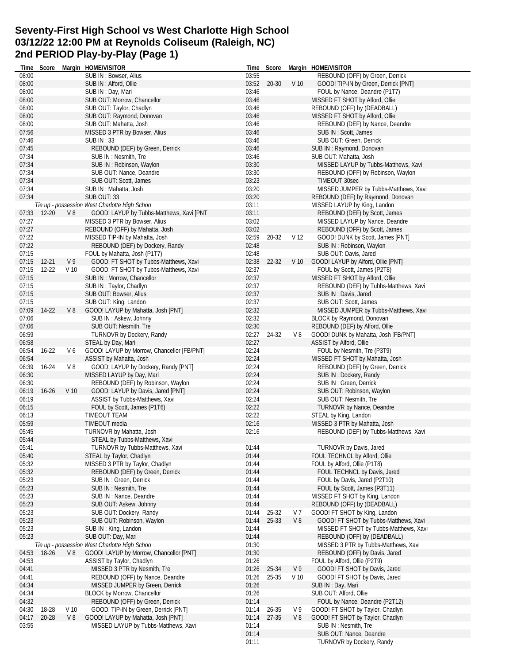# **Seventy-First High School vs West Charlotte High School 03/12/22 12:00 PM at Reynolds Coliseum (Raleigh, NC) 2nd PERIOD Play-by-Play (Page 1)**

| Time           | Score              |                       | Margin HOME/VISITOR                                            | Time           | Score          |                 | Margin HOME/VISITOR                    |
|----------------|--------------------|-----------------------|----------------------------------------------------------------|----------------|----------------|-----------------|----------------------------------------|
| 08:00          |                    |                       | SUB IN: Bowser, Alius                                          | 03:55          |                |                 | REBOUND (OFF) by Green, Derrick        |
| 08:00          |                    |                       | SUB IN : Alford, Ollie                                         | 03:52          | 20-30          | V <sub>10</sub> | GOOD! TIP-IN by Green, Derrick [PNT]   |
| 08:00          |                    |                       | SUB IN: Day, Mari                                              | 03:46          |                |                 | FOUL by Nance, Deandre (P1T7)          |
| 08:00          |                    |                       | SUB OUT: Morrow, Chancellor                                    | 03:46          |                |                 | MISSED FT SHOT by Alford, Ollie        |
| 08:00          |                    |                       | SUB OUT: Taylor, Chadlyn                                       | 03:46          |                |                 | REBOUND (OFF) by (DEADBALL)            |
| 08:00          |                    |                       | SUB OUT: Raymond, Donovan                                      | 03:46          |                |                 | MISSED FT SHOT by Alford, Ollie        |
| 08:00          |                    |                       | SUB OUT: Mahatta, Josh                                         | 03:46          |                |                 | REBOUND (DEF) by Nance, Deandre        |
| 07:56          |                    |                       | MISSED 3 PTR by Bowser, Alius                                  | 03:46          |                |                 | SUB IN: Scott, James                   |
| 07:46          |                    |                       | <b>SUB IN:33</b>                                               | 03:46          |                |                 | SUB OUT: Green, Derrick                |
| 07:45          |                    |                       | REBOUND (DEF) by Green, Derrick                                | 03:46          |                |                 | SUB IN: Raymond, Donovan               |
| 07:34          |                    |                       | SUB IN: Nesmith, Tre                                           | 03:46          |                |                 | SUB OUT: Mahatta, Josh                 |
| 07:34          |                    |                       | SUB IN: Robinson, Waylon                                       | 03:30          |                |                 | MISSED LAYUP by Tubbs-Matthews, Xavi   |
| 07:34          |                    |                       | SUB OUT: Nance, Deandre                                        | 03:30          |                |                 | REBOUND (OFF) by Robinson, Waylon      |
| 07:34          |                    |                       | SUB OUT: Scott, James                                          | 03:23          |                |                 | TIMEOUT 30sec                          |
| 07:34          |                    |                       | SUB IN: Mahatta, Josh                                          | 03:20          |                |                 | MISSED JUMPER by Tubbs-Matthews, Xavi  |
| 07:34          |                    |                       | <b>SUB OUT: 33</b>                                             | 03:20          |                |                 | REBOUND (DEF) by Raymond, Donovan      |
|                |                    |                       |                                                                | 03:11          |                |                 | MISSED LAYUP by King, Landon           |
|                |                    |                       | Tie up - possession West Charlotte High Schoo                  |                |                |                 |                                        |
| 07:33          | 12-20              | V8                    | GOOD! LAYUP by Tubbs-Matthews, Xavi [PNT                       | 03:11          |                |                 | REBOUND (DEF) by Scott, James          |
| 07:27          |                    |                       | MISSED 3 PTR by Bowser, Alius                                  | 03:02          |                |                 | MISSED LAYUP by Nance, Deandre         |
| 07:27          |                    |                       | REBOUND (OFF) by Mahatta, Josh                                 | 03:02          |                |                 | REBOUND (OFF) by Scott, James          |
| 07:22          |                    |                       | MISSED TIP-IN by Mahatta, Josh                                 | 02:59          | $20 - 32$      | V <sub>12</sub> | GOOD! DUNK by Scott, James [PNT]       |
| 07:22          |                    |                       | REBOUND (DEF) by Dockery, Randy                                | 02:48          |                |                 | SUB IN: Robinson, Waylon               |
| 07:15          |                    |                       | FOUL by Mahatta, Josh (P1T7)                                   | 02:48          |                |                 | SUB OUT: Davis, Jared                  |
| 07:15          | $12 - 21$          | V <sub>9</sub>        | GOOD! FT SHOT by Tubbs-Matthews, Xavi                          | 02:38          | 22-32          | V <sub>10</sub> | GOOD! LAYUP by Alford, Ollie [PNT]     |
| 07:15          | $12 - 22$          | V <sub>10</sub>       | GOOD! FT SHOT by Tubbs-Matthews, Xavi                          | 02:37          |                |                 | FOUL by Scott, James (P2T8)            |
| 07:15          |                    |                       | SUB IN: Morrow, Chancellor                                     | 02:37          |                |                 | MISSED FT SHOT by Alford, Ollie        |
| 07:15          |                    |                       | SUB IN: Taylor, Chadlyn                                        | 02:37          |                |                 | REBOUND (DEF) by Tubbs-Matthews, Xavi  |
| 07:15          |                    |                       | SUB OUT: Bowser, Alius                                         | 02:37          |                |                 | SUB IN: Davis, Jared                   |
| 07:15          |                    |                       | SUB OUT: King, Landon                                          | 02:37          |                |                 | SUB OUT: Scott, James                  |
| 07:09          | $14-22$            | V8                    | GOOD! LAYUP by Mahatta, Josh [PNT]                             | 02:32          |                |                 | MISSED JUMPER by Tubbs-Matthews, Xavi  |
| 07:06          |                    |                       | SUB IN: Askew, Johnny                                          | 02:32          |                |                 | BLOCK by Raymond, Donovan              |
| 07:06          |                    |                       | SUB OUT: Nesmith, Tre                                          | 02:30          |                |                 | REBOUND (DEF) by Alford, Ollie         |
| 06:59          |                    |                       | TURNOVR by Dockery, Randy                                      | 02:27          | 24-32          | V8              | GOOD! DUNK by Mahatta, Josh [FB/PNT]   |
| 06:58          |                    |                       | STEAL by Day, Mari                                             | 02:27          |                |                 | ASSIST by Alford, Ollie                |
| 06:54          | $16 - 22$          | V6                    | GOOD! LAYUP by Morrow, Chancellor [FB/PNT]                     | 02:24          |                |                 | FOUL by Nesmith, Tre (P3T9)            |
| 06:54          |                    |                       | ASSIST by Mahatta, Josh                                        | 02:24          |                |                 | MISSED FT SHOT by Mahatta, Josh        |
| 06:39          | 16-24              | V8                    | GOOD! LAYUP by Dockery, Randy [PNT]                            | 02:24          |                |                 | REBOUND (DEF) by Green, Derrick        |
| 06:30          |                    |                       | MISSED LAYUP by Day, Mari                                      | 02:24          |                |                 | SUB IN: Dockery, Randy                 |
| 06:30          |                    |                       |                                                                |                |                |                 |                                        |
|                |                    |                       | REBOUND (DEF) by Robinson, Waylon                              | 02:24          |                |                 | SUB IN: Green, Derrick                 |
| 06:19          | $16 - 26$          | V <sub>10</sub>       | GOOD! LAYUP by Davis, Jared [PNT]                              | 02:24          |                |                 | SUB OUT: Robinson, Waylon              |
| 06:19          |                    |                       | ASSIST by Tubbs-Matthews, Xavi                                 | 02:24          |                |                 | SUB OUT: Nesmith, Tre                  |
| 06:15          |                    |                       | FOUL by Scott, James (P1T6)                                    | 02:22          |                |                 | <b>TURNOVR by Nance, Deandre</b>       |
| 06:13          |                    |                       | TIMEOUT TEAM                                                   | 02:22          |                |                 | STEAL by King, Landon                  |
| 05:59          |                    |                       | TIMEOUT media                                                  | 02:16          |                |                 | MISSED 3 PTR by Mahatta, Josh          |
| 05:45          |                    |                       | TURNOVR by Mahatta, Josh                                       | 02:16          |                |                 | REBOUND (DEF) by Tubbs-Matthews, Xavi  |
| 05:44          |                    |                       | STEAL by Tubbs-Matthews, Xavi                                  |                |                |                 |                                        |
| 05:41          |                    |                       | TURNOVR by Tubbs-Matthews, Xavi                                | 01:44          |                |                 | TURNOVR by Davis, Jared                |
| 05:40          |                    |                       | STEAL by Taylor, Chadlyn                                       | 01:44          |                |                 | FOUL TECHNCL by Alford, Ollie          |
| 05:32          |                    |                       | MISSED 3 PTR by Taylor, Chadlyn                                | 01:44          |                |                 | FOUL by Alford, Ollie (P1T8)           |
| 05:32          |                    |                       | REBOUND (DEF) by Green, Derrick                                | 01:44          |                |                 | FOUL TECHNCL by Davis, Jared           |
| 05:23          |                    |                       | SUB IN: Green, Derrick                                         | 01:44          |                |                 | FOUL by Davis, Jared (P2T10)           |
| 05:23          |                    |                       | SUB IN : Nesmith, Tre                                          | 01:44          |                |                 | FOUL by Scott, James (P3T11)           |
| 05:23          |                    |                       | SUB IN : Nance, Deandre                                        | 01:44          |                |                 | MISSED FT SHOT by King, Landon         |
| 05:23          |                    |                       | SUB OUT: Askew, Johnny                                         | 01:44          |                |                 | REBOUND (OFF) by (DEADBALL)            |
| 05:23          |                    |                       | SUB OUT: Dockery, Randy                                        | 01:44          | 25-32          | V 7             | GOOD! FT SHOT by King, Landon          |
| 05:23          |                    |                       | SUB OUT: Robinson, Waylon                                      | 01:44          | 25-33          | $V_8$           | GOOD! FT SHOT by Tubbs-Matthews, Xavi  |
| 05:23          |                    |                       | SUB IN: King, Landon                                           | 01:44          |                |                 | MISSED FT SHOT by Tubbs-Matthews, Xavi |
| 05:23          |                    |                       | SUB OUT: Day, Mari                                             | 01:44          |                |                 | REBOUND (OFF) by (DEADBALL)            |
|                |                    |                       | Tie up - possession West Charlotte High Schoo                  | 01:30          |                |                 | MISSED 3 PTR by Tubbs-Matthews, Xavi   |
| 04:53          | 18-26              | V8                    | GOOD! LAYUP by Morrow, Chancellor [PNT]                        | 01:30          |                |                 | REBOUND (OFF) by Davis, Jared          |
| 04:53          |                    |                       | ASSIST by Taylor, Chadlyn                                      | 01:26          |                |                 | FOUL by Alford, Ollie (P2T9)           |
| 04:41          |                    |                       | MISSED 3 PTR by Nesmith, Tre                                   | 01:26          | 25-34          | V <sub>9</sub>  | GOOD! FT SHOT by Davis, Jared          |
| 04:41          |                    |                       | REBOUND (OFF) by Nance, Deandre                                | 01:26          | 25-35          | V <sub>10</sub> | GOOD! FT SHOT by Davis, Jared          |
| 04:34          |                    |                       | MISSED JUMPER by Green, Derrick                                | 01:26          |                |                 | SUB IN: Day, Mari                      |
|                |                    |                       |                                                                |                |                |                 | SUB OUT: Alford, Ollie                 |
| 04:34<br>04:32 |                    |                       | BLOCK by Morrow, Chancellor<br>REBOUND (OFF) by Green, Derrick | 01:26<br>01:14 |                |                 |                                        |
|                |                    |                       |                                                                |                |                | V <sub>9</sub>  | FOUL by Nance, Deandre (P2T12)         |
| 04:30<br>04:17 | 18-28<br>$20 - 28$ | V <sub>10</sub><br>V8 | GOOD! TIP-IN by Green, Derrick [PNT]                           | 01:14<br>01:14 | 26-35<br>27-35 | $V_8$           | GOOD! FT SHOT by Taylor, Chadlyn       |
|                |                    |                       | GOOD! LAYUP by Mahatta, Josh [PNT]                             |                |                |                 | GOOD! FT SHOT by Taylor, Chadlyn       |
| 03:55          |                    |                       | MISSED LAYUP by Tubbs-Matthews, Xavi                           | 01:14          |                |                 | SUB IN: Nesmith, Tre                   |
|                |                    |                       |                                                                | 01:14          |                |                 | SUB OUT: Nance, Deandre                |
|                |                    |                       |                                                                | 01:11          |                |                 | TURNOVR by Dockery, Randy              |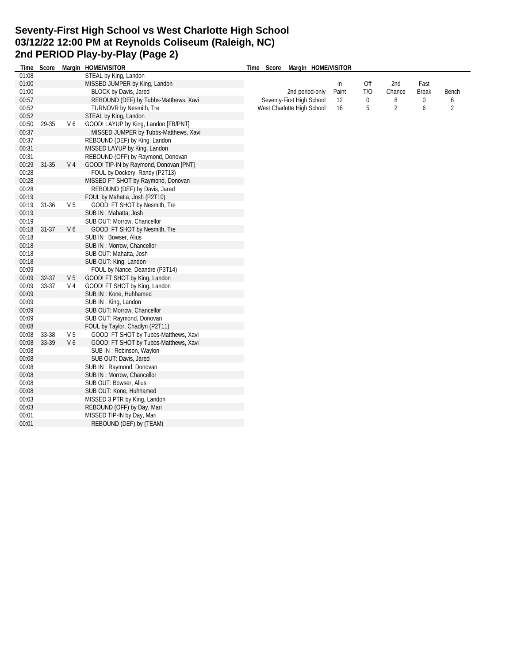## **Seventy-First High School vs West Charlotte High School 03/12/22 12:00 PM at Reynolds Coliseum (Raleigh, NC) 2nd PERIOD Play-by-Play (Page 2)**

| Time  | Score     |                | Margin HOME/VISITOR                    | Time Score Margin HOME/VISITOR |       |     |                |              |                |
|-------|-----------|----------------|----------------------------------------|--------------------------------|-------|-----|----------------|--------------|----------------|
| 01:08 |           |                | STEAL by King, Landon                  |                                |       |     |                |              |                |
| 01:00 |           |                | MISSED JUMPER by King, Landon          |                                | In    | Off | 2nd            | Fast         |                |
| 01:00 |           |                | <b>BLOCK by Davis, Jared</b>           | 2nd period-only                | Paint | T/O | Chance         | <b>Break</b> | Bench          |
| 00:57 |           |                | REBOUND (DEF) by Tubbs-Matthews, Xavi  | Seventy-First High School      | 12    | 0   | 8              | $\mathbf 0$  | 6              |
| 00:52 |           |                | <b>TURNOVR by Nesmith, Tre</b>         | West Charlotte High School     | 16    | 5   | $\overline{2}$ | 6            | $\overline{2}$ |
| 00:52 |           |                | STEAL by King, Landon                  |                                |       |     |                |              |                |
| 00:50 | 29-35     | V <sub>6</sub> | GOOD! LAYUP by King, Landon [FB/PNT]   |                                |       |     |                |              |                |
| 00:37 |           |                | MISSED JUMPER by Tubbs-Matthews, Xavi  |                                |       |     |                |              |                |
| 00:37 |           |                | REBOUND (DEF) by King, Landon          |                                |       |     |                |              |                |
| 00:31 |           |                | MISSED LAYUP by King, Landon           |                                |       |     |                |              |                |
| 00:31 |           |                | REBOUND (OFF) by Raymond, Donovan      |                                |       |     |                |              |                |
| 00:29 | 31-35     | V <sub>4</sub> | GOOD! TIP-IN by Raymond, Donovan [PNT] |                                |       |     |                |              |                |
| 00:28 |           |                | FOUL by Dockery, Randy (P2T13)         |                                |       |     |                |              |                |
| 00:28 |           |                | MISSED FT SHOT by Raymond, Donovan     |                                |       |     |                |              |                |
| 00:28 |           |                | REBOUND (DEF) by Davis, Jared          |                                |       |     |                |              |                |
| 00:19 |           |                | FOUL by Mahatta, Josh (P2T10)          |                                |       |     |                |              |                |
| 00:19 | 31-36     | V <sub>5</sub> | GOOD! FT SHOT by Nesmith, Tre          |                                |       |     |                |              |                |
| 00:19 |           |                | SUB IN: Mahatta, Josh                  |                                |       |     |                |              |                |
| 00:19 |           |                | SUB OUT: Morrow, Chancellor            |                                |       |     |                |              |                |
| 00:18 | $31 - 37$ | V <sub>6</sub> | GOOD! FT SHOT by Nesmith, Tre          |                                |       |     |                |              |                |
| 00:18 |           |                | SUB IN: Bowser, Alius                  |                                |       |     |                |              |                |
| 00:18 |           |                | SUB IN: Morrow, Chancellor             |                                |       |     |                |              |                |
| 00:18 |           |                | SUB OUT: Mahatta, Josh                 |                                |       |     |                |              |                |
| 00:18 |           |                | SUB OUT: King, Landon                  |                                |       |     |                |              |                |
| 00:09 |           |                | FOUL by Nance, Deandre (P3T14)         |                                |       |     |                |              |                |
| 00:09 | $32 - 37$ | V <sub>5</sub> | GOOD! FT SHOT by King, Landon          |                                |       |     |                |              |                |
| 00:09 | 33-37     | V <sub>4</sub> | GOOD! FT SHOT by King, Landon          |                                |       |     |                |              |                |
| 00:09 |           |                | SUB IN: Kone, Huhhamed                 |                                |       |     |                |              |                |
| 00:09 |           |                | SUB IN: King, Landon                   |                                |       |     |                |              |                |
| 00:09 |           |                | SUB OUT: Morrow, Chancellor            |                                |       |     |                |              |                |
| 00:09 |           |                | SUB OUT: Raymond, Donovan              |                                |       |     |                |              |                |
| 00:08 |           |                | FOUL by Taylor, Chadlyn (P2T11)        |                                |       |     |                |              |                |
| 00:08 | 33-38     | V <sub>5</sub> | GOOD! FT SHOT by Tubbs-Matthews, Xavi  |                                |       |     |                |              |                |
| 00:08 | 33-39     | V <sub>6</sub> | GOOD! FT SHOT by Tubbs-Matthews, Xavi  |                                |       |     |                |              |                |
| 00:08 |           |                | SUB IN: Robinson, Waylon               |                                |       |     |                |              |                |
| 00:08 |           |                | SUB OUT: Davis, Jared                  |                                |       |     |                |              |                |
| 00:08 |           |                | SUB IN: Raymond, Donovan               |                                |       |     |                |              |                |
| 00:08 |           |                | SUB IN: Morrow, Chancellor             |                                |       |     |                |              |                |
| 00:08 |           |                | SUB OUT: Bowser, Alius                 |                                |       |     |                |              |                |
| 00:08 |           |                | SUB OUT: Kone, Huhhamed                |                                |       |     |                |              |                |
| 00:03 |           |                | MISSED 3 PTR by King, Landon           |                                |       |     |                |              |                |
| 00:03 |           |                | REBOUND (OFF) by Day, Mari             |                                |       |     |                |              |                |
| 00:01 |           |                | MISSED TIP-IN by Day, Mari             |                                |       |     |                |              |                |
| 00:01 |           |                | REBOUND (DEF) by (TEAM)                |                                |       |     |                |              |                |
|       |           |                |                                        |                                |       |     |                |              |                |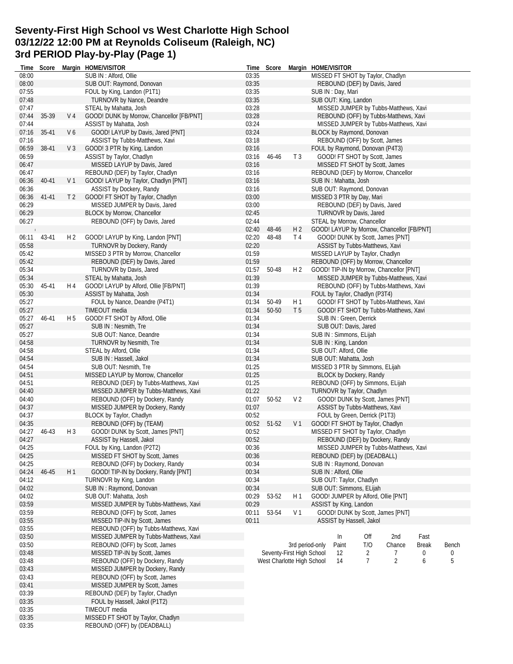# **Seventy-First High School vs West Charlotte High School 03/12/22 12:00 PM at Reynolds Coliseum (Raleigh, NC) 3rd PERIOD Play-by-Play (Page 1)**

| Time           |       |                | Score Margin HOME/VISITOR                      |       | Time Score                 | Margin HOME/VISITOR |                          |                                  |                                            |              |       |
|----------------|-------|----------------|------------------------------------------------|-------|----------------------------|---------------------|--------------------------|----------------------------------|--------------------------------------------|--------------|-------|
| 08:00          |       |                | SUB IN : Alford, Ollie                         | 03:35 |                            |                     |                          |                                  | MISSED FT SHOT by Taylor, Chadlyn          |              |       |
| 08:00          |       |                | SUB OUT: Raymond, Donovan                      | 03:35 |                            |                     |                          | REBOUND (DEF) by Davis, Jared    |                                            |              |       |
| 07:55          |       |                | FOUL by King, Landon (P1T1)                    | 03:35 |                            |                     | SUB IN: Day, Mari        |                                  |                                            |              |       |
| 07:48          |       |                | <b>TURNOVR by Nance, Deandre</b>               | 03:35 |                            |                     | SUB OUT: King, Landon    |                                  |                                            |              |       |
| 07:47          |       |                | STEAL by Mahatta, Josh                         | 03:28 |                            |                     |                          |                                  | MISSED JUMPER by Tubbs-Matthews, Xavi      |              |       |
| 07:44          | 35-39 | V 4            | GOOD! DUNK by Morrow, Chancellor [FB/PNT]      | 03:28 |                            |                     |                          |                                  | REBOUND (OFF) by Tubbs-Matthews, Xavi      |              |       |
| 07:44          |       |                | ASSIST by Mahatta, Josh                        | 03:24 |                            |                     |                          |                                  | MISSED JUMPER by Tubbs-Matthews, Xavi      |              |       |
| 07:16          | 35-41 | V6             | GOOD! LAYUP by Davis, Jared [PNT]              | 03:24 |                            |                     |                          | BLOCK by Raymond, Donovan        |                                            |              |       |
| 07:16          |       |                | ASSIST by Tubbs-Matthews, Xavi                 | 03:18 |                            |                     |                          | REBOUND (OFF) by Scott, James    |                                            |              |       |
| 06:59          | 38-41 | V <sub>3</sub> | GOOD! 3 PTR by King, Landon                    | 03:16 |                            |                     |                          | FOUL by Raymond, Donovan (P4T3)  |                                            |              |       |
| 06:59          |       |                | ASSIST by Taylor, Chadlyn                      | 03:16 | 46-46                      | T <sub>3</sub>      |                          | GOOD! FT SHOT by Scott, James    |                                            |              |       |
| 06:47          |       |                | MISSED LAYUP by Davis, Jared                   | 03:16 |                            |                     |                          |                                  | MISSED FT SHOT by Scott, James             |              |       |
| 06:47          |       |                | REBOUND (DEF) by Taylor, Chadlyn               | 03:16 |                            |                     |                          |                                  | REBOUND (DEF) by Morrow, Chancellor        |              |       |
| 06:36          | 40-41 | V 1            | GOOD! LAYUP by Taylor, Chadlyn [PNT]           | 03:16 |                            |                     | SUB IN: Mahatta, Josh    |                                  |                                            |              |       |
| 06:36          |       |                | ASSIST by Dockery, Randy                       | 03:16 |                            |                     |                          | SUB OUT: Raymond, Donovan        |                                            |              |       |
| 06:36          | 41-41 | T <sub>2</sub> | GOOD! FT SHOT by Taylor, Chadlyn               | 03:00 |                            |                     |                          | MISSED 3 PTR by Day, Mari        |                                            |              |       |
| 06:29          |       |                | MISSED JUMPER by Davis, Jared                  | 03:00 |                            |                     |                          | REBOUND (DEF) by Davis, Jared    |                                            |              |       |
| 06:29          |       |                | <b>BLOCK by Morrow, Chancellor</b>             | 02:45 |                            |                     |                          | TURNOVR by Davis, Jared          |                                            |              |       |
| 06:27          |       |                | REBOUND (OFF) by Davis, Jared                  | 02:44 |                            |                     |                          | STEAL by Morrow, Chancellor      |                                            |              |       |
|                |       |                |                                                | 02:40 | 48-46                      | H <sub>2</sub>      |                          |                                  | GOOD! LAYUP by Morrow, Chancellor [FB/PNT] |              |       |
| 06:11          | 43-41 | H 2            | GOOD! LAYUP by King, Landon [PNT]              | 02:20 | 48-48                      | T 4                 |                          |                                  | GOOD! DUNK by Scott, James [PNT]           |              |       |
| 05:58          |       |                | TURNOVR by Dockery, Randy                      | 02:20 |                            |                     |                          | ASSIST by Tubbs-Matthews, Xavi   |                                            |              |       |
| 05:42          |       |                | MISSED 3 PTR by Morrow, Chancellor             | 01:59 |                            |                     |                          | MISSED LAYUP by Taylor, Chadlyn  |                                            |              |       |
| 05:42          |       |                | REBOUND (DEF) by Davis, Jared                  | 01:59 |                            |                     |                          |                                  | REBOUND (OFF) by Morrow, Chancellor        |              |       |
| 05:34          |       |                | TURNOVR by Davis, Jared                        | 01:57 | 50-48                      | H <sub>2</sub>      |                          |                                  | GOOD! TIP-IN by Morrow, Chancellor [PNT]   |              |       |
| 05:34          |       |                | STEAL by Mahatta, Josh                         | 01:39 |                            |                     |                          |                                  | MISSED JUMPER by Tubbs-Matthews, Xavi      |              |       |
| 05:30          | 45-41 | H 4            | GOOD! LAYUP by Alford, Ollie [FB/PNT]          | 01:39 |                            |                     |                          |                                  | REBOUND (OFF) by Tubbs-Matthews, Xavi      |              |       |
| 05:30          |       |                | ASSIST by Mahatta, Josh                        | 01:34 |                            |                     |                          | FOUL by Taylor, Chadlyn (P3T4)   |                                            |              |       |
| 05:27          |       |                | FOUL by Nance, Deandre (P4T1)                  | 01:34 | 50-49                      | H 1                 |                          |                                  | GOOD! FT SHOT by Tubbs-Matthews, Xavi      |              |       |
| 05:27          |       |                | TIMEOUT media                                  | 01:34 | 50-50                      | T <sub>5</sub>      |                          |                                  | GOOD! FT SHOT by Tubbs-Matthews, Xavi      |              |       |
| 05:27          | 46-41 | H 5            | GOOD! FT SHOT by Alford, Ollie                 | 01:34 |                            |                     | SUB IN: Green, Derrick   |                                  |                                            |              |       |
| 05:27          |       |                | SUB IN: Nesmith, Tre                           | 01:34 |                            |                     | SUB OUT: Davis, Jared    |                                  |                                            |              |       |
| 05:27          |       |                | SUB OUT: Nance, Deandre                        | 01:34 |                            |                     | SUB IN : Simmons, ELijah |                                  |                                            |              |       |
| 04:58          |       |                | <b>TURNOVR by Nesmith, Tre</b>                 | 01:34 |                            |                     | SUB IN: King, Landon     |                                  |                                            |              |       |
| 04:58          |       |                | STEAL by Alford, Ollie                         | 01:34 |                            |                     | SUB OUT: Alford, Ollie   |                                  |                                            |              |       |
| 04:54          |       |                | SUB IN : Hassell, Jakol                        | 01:34 |                            |                     | SUB OUT: Mahatta, Josh   |                                  |                                            |              |       |
| 04:54          |       |                | SUB OUT: Nesmith, Tre                          | 01:25 |                            |                     |                          | MISSED 3 PTR by Simmons, ELijah  |                                            |              |       |
| 04:51          |       |                | MISSED LAYUP by Morrow, Chancellor             | 01:25 |                            |                     |                          | <b>BLOCK by Dockery, Randy</b>   |                                            |              |       |
| 04:51          |       |                | REBOUND (DEF) by Tubbs-Matthews, Xavi          | 01:25 |                            |                     |                          |                                  | REBOUND (OFF) by Simmons, ELijah           |              |       |
| 04:40          |       |                | MISSED JUMPER by Tubbs-Matthews, Xavi          | 01:22 |                            |                     |                          | TURNOVR by Taylor, Chadlyn       |                                            |              |       |
| 04:40          |       |                | REBOUND (OFF) by Dockery, Randy                | 01:07 | 50-52                      | V <sub>2</sub>      |                          |                                  | GOOD! DUNK by Scott, James [PNT]           |              |       |
| 04:37          |       |                | MISSED JUMPER by Dockery, Randy                | 01:07 |                            |                     |                          | ASSIST by Tubbs-Matthews, Xavi   |                                            |              |       |
| 04:37          |       |                | BLOCK by Taylor, Chadlyn                       | 00:52 |                            |                     |                          | FOUL by Green, Derrick (P1T3)    |                                            |              |       |
| 04:35          |       |                | REBOUND (OFF) by (TEAM)                        | 00:52 | $51-52$                    | V 1                 |                          | GOOD! FT SHOT by Taylor, Chadlyn |                                            |              |       |
| 04:27          | 46-43 | H <sub>3</sub> | GOOD! DUNK by Scott, James [PNT]               | 00:52 |                            |                     |                          |                                  | MISSED FT SHOT by Taylor, Chadlyn          |              |       |
| 04:27          |       |                | ASSIST by Hassell, Jakol                       | 00:52 |                            |                     |                          |                                  | REBOUND (DEF) by Dockery, Randy            |              |       |
| 04:25          |       |                | FOUL by King, Landon (P2T2)                    | 00:36 |                            |                     |                          |                                  | MISSED JUMPER by Tubbs-Matthews, Xavi      |              |       |
| 04:25          |       |                | MISSED FT SHOT by Scott, James                 | 00:36 |                            |                     |                          | REBOUND (DEF) by (DEADBALL)      |                                            |              |       |
| 04:25          |       |                | REBOUND (OFF) by Dockery, Randy                | 00:34 |                            |                     |                          | SUB IN: Raymond, Donovan         |                                            |              |       |
| 04:24          | 46-45 | H 1            | GOOD! TIP-IN by Dockery, Randy [PNT]           | 00:34 |                            |                     | SUB IN: Alford, Ollie    |                                  |                                            |              |       |
| 04:12          |       |                | TURNOVR by King, Landon                        | 00:34 |                            |                     | SUB OUT: Taylor, Chadlyn |                                  |                                            |              |       |
| 04:02          |       |                | SUB IN: Raymond, Donovan                       | 00:34 |                            |                     |                          | SUB OUT: Simmons, ELijah         |                                            |              |       |
| 04:02          |       |                | SUB OUT: Mahatta, Josh                         | 00:29 | 53-52                      | H1                  |                          |                                  | GOOD! JUMPER by Alford, Ollie [PNT]        |              |       |
| 03:59          |       |                | MISSED JUMPER by Tubbs-Matthews, Xavi          | 00:29 |                            |                     | ASSIST by King, Landon   |                                  |                                            |              |       |
| 03:59          |       |                | REBOUND (OFF) by Scott, James                  | 00:11 | 53-54                      | V <sub>1</sub>      |                          |                                  | GOOD! DUNK by Scott, James [PNT]           |              |       |
| 03:55          |       |                | MISSED TIP-IN by Scott, James                  | 00:11 |                            |                     |                          | ASSIST by Hassell, Jakol         |                                            |              |       |
| 03:55          |       |                | REBOUND (OFF) by Tubbs-Matthews, Xavi          |       |                            |                     |                          |                                  |                                            |              |       |
| 03:50          |       |                | MISSED JUMPER by Tubbs-Matthews, Xavi          |       |                            |                     | In                       | Off                              | 2nd                                        | Fast         |       |
| 03:50          |       |                | REBOUND (OFF) by Scott, James                  |       |                            | 3rd period-only     | Paint                    | T/O                              | Chance                                     | <b>Break</b> | Bench |
| 03:48          |       |                | MISSED TIP-IN by Scott, James                  |       | Seventy-First High School  |                     | 12                       | 2                                | 7                                          | 0            | 0     |
| 03:48          |       |                | REBOUND (OFF) by Dockery, Randy                |       | West Charlotte High School |                     | 14                       | $\overline{7}$                   | $\overline{2}$                             | 6            | 5     |
| 03:43          |       |                | MISSED JUMPER by Dockery, Randy                |       |                            |                     |                          |                                  |                                            |              |       |
| 03:43          |       |                | REBOUND (OFF) by Scott, James                  |       |                            |                     |                          |                                  |                                            |              |       |
| 03:41          |       |                | MISSED JUMPER by Scott, James                  |       |                            |                     |                          |                                  |                                            |              |       |
| 03:39          |       |                | REBOUND (DEF) by Taylor, Chadlyn               |       |                            |                     |                          |                                  |                                            |              |       |
| 03:35          |       |                | FOUL by Hassell, Jakol (P1T2)<br>TIMEOUT media |       |                            |                     |                          |                                  |                                            |              |       |
| 03:35<br>03:35 |       |                |                                                |       |                            |                     |                          |                                  |                                            |              |       |
| 03:35          |       |                | MISSED FT SHOT by Taylor, Chadlyn              |       |                            |                     |                          |                                  |                                            |              |       |
|                |       |                | REBOUND (OFF) by (DEADBALL)                    |       |                            |                     |                          |                                  |                                            |              |       |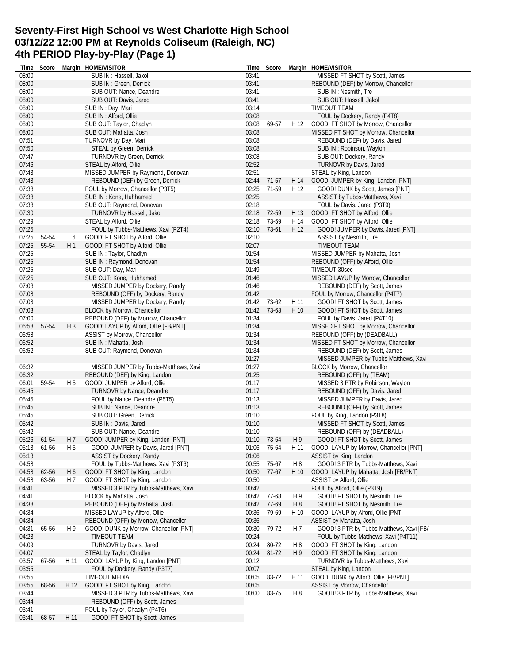# **Seventy-First High School vs West Charlotte High School 03/12/22 12:00 PM at Reynolds Coliseum (Raleigh, NC) 4th PERIOD Play-by-Play (Page 1)**

|                | Time Score  |                | Margin HOME/VISITOR                                                        |                | Time Score  |                | Margin HOME/VISITOR                                                  |
|----------------|-------------|----------------|----------------------------------------------------------------------------|----------------|-------------|----------------|----------------------------------------------------------------------|
| 08:00          |             |                | SUB IN : Hassell, Jakol                                                    | 03:41          |             |                | MISSED FT SHOT by Scott, James                                       |
| 08:00          |             |                | SUB IN: Green, Derrick                                                     | 03:41          |             |                | REBOUND (DEF) by Morrow, Chancellor                                  |
| 08:00          |             |                | SUB OUT: Nance, Deandre                                                    | 03:41          |             |                | SUB IN: Nesmith, Tre                                                 |
| 08:00          |             |                | SUB OUT: Davis, Jared                                                      | 03:41          |             |                | SUB OUT: Hassell, Jakol                                              |
| 08:00          |             |                | SUB IN: Day, Mari                                                          | 03:14          |             |                | TIMEOUT TEAM                                                         |
| 08:00          |             |                | SUB IN : Alford, Ollie                                                     | 03:08          |             |                | FOUL by Dockery, Randy (P4T8)                                        |
| 08:00          |             |                | SUB OUT: Taylor, Chadlyn                                                   | 03:08          | 69-57       | H 12           | GOOD! FT SHOT by Morrow, Chancellor                                  |
| 08:00          |             |                | SUB OUT: Mahatta, Josh                                                     | 03:08          |             |                | MISSED FT SHOT by Morrow, Chancellor                                 |
| 07:51          |             |                | TURNOVR by Day, Mari                                                       | 03:08          |             |                | REBOUND (DEF) by Davis, Jared                                        |
| 07:50          |             |                | <b>STEAL by Green, Derrick</b>                                             | 03:08          |             |                | SUB IN: Robinson, Waylon                                             |
| 07:47          |             |                | <b>TURNOVR by Green, Derrick</b>                                           | 03:08          |             |                | SUB OUT: Dockery, Randy                                              |
| 07:46          |             |                | STEAL by Alford, Ollie                                                     | 02:52          |             |                | TURNOVR by Davis, Jared                                              |
| 07:43          |             |                | MISSED JUMPER by Raymond, Donovan                                          | 02:51          |             |                | STEAL by King, Landon                                                |
| 07:43          |             |                | REBOUND (DEF) by Green, Derrick                                            | 02:44          | 71-57       | H 14           | GOOD! JUMPER by King, Landon [PNT]                                   |
| 07:38          |             |                | FOUL by Morrow, Chancellor (P3T5)                                          | 02:25          | 71-59       | H 12           | GOOD! DUNK by Scott, James [PNT]                                     |
| 07:38          |             |                | SUB IN: Kone, Huhhamed                                                     | 02:25          |             |                | ASSIST by Tubbs-Matthews, Xavi                                       |
| 07:38          |             |                | SUB OUT: Raymond, Donovan                                                  | 02:18          |             |                | FOUL by Davis, Jared (P3T9)                                          |
| 07:30          |             |                | TURNOVR by Hassell, Jakol                                                  |                | 02:18 72-59 | H 13           | GOOD! FT SHOT by Alford, Ollie                                       |
| 07:29          |             |                | STEAL by Alford, Ollie                                                     | 02:18          | 73-59       | H 14           | GOOD! FT SHOT by Alford, Ollie                                       |
| 07:25          |             |                | FOUL by Tubbs-Matthews, Xavi (P2T4)                                        | 02:10          | 73-61       | H 12           | GOOD! JUMPER by Davis, Jared [PNT]                                   |
| 07:25          | 54-54       | T6             | GOOD! FT SHOT by Alford, Ollie                                             | 02:10          |             |                | ASSIST by Nesmith, Tre                                               |
| 07:25          | 55-54       | H 1            | GOOD! FT SHOT by Alford, Ollie                                             | 02:07          |             |                | TIMEOUT TEAM                                                         |
| 07:25          |             |                | SUB IN: Taylor, Chadlyn                                                    | 01:54          |             |                | MISSED JUMPER by Mahatta, Josh                                       |
| 07:25          |             |                | SUB IN: Raymond, Donovan                                                   | 01:54          |             |                | REBOUND (OFF) by Alford, Ollie                                       |
| 07:25          |             |                | SUB OUT: Day, Mari                                                         | 01:49          |             |                | TIMEOUT 30sec                                                        |
| 07:25          |             |                | SUB OUT: Kone, Huhhamed                                                    | 01:46          |             |                | MISSED LAYUP by Morrow, Chancellor                                   |
| 07:08          |             |                | MISSED JUMPER by Dockery, Randy                                            | 01:46          |             |                | REBOUND (DEF) by Scott, James                                        |
| 07:08          |             |                | REBOUND (OFF) by Dockery, Randy                                            | 01:42          |             |                | FOUL by Morrow, Chancellor (P4T7)                                    |
| 07:03          |             |                | MISSED JUMPER by Dockery, Randy                                            | 01:42          | 73-62       | H 11           | GOOD! FT SHOT by Scott, James                                        |
| 07:03          |             |                | BLOCK by Morrow, Chancellor                                                | 01:42          | 73-63       | H 10           | GOOD! FT SHOT by Scott, James                                        |
| 07:00          |             |                | REBOUND (DEF) by Morrow, Chancellor                                        | 01:34          |             |                | FOUL by Davis, Jared (P4T10)                                         |
| 06:58          | 57-54       | $H_3$          | GOOD! LAYUP by Alford, Ollie [FB/PNT]                                      | 01:34          |             |                | MISSED FT SHOT by Morrow, Chancellor                                 |
| 06:58          |             |                | ASSIST by Morrow, Chancellor                                               | 01:34          |             |                | REBOUND (OFF) by (DEADBALL)                                          |
| 06:52          |             |                | SUB IN: Mahatta, Josh                                                      | 01:34          |             |                | MISSED FT SHOT by Morrow, Chancellor                                 |
| 06:52          |             |                | SUB OUT: Raymond, Donovan                                                  | 01:34          |             |                | REBOUND (DEF) by Scott, James                                        |
|                |             |                |                                                                            | 01:27          |             |                | MISSED JUMPER by Tubbs-Matthews, Xavi                                |
| 06:32          |             |                | MISSED JUMPER by Tubbs-Matthews, Xavi                                      | 01:27          |             |                | BLOCK by Morrow, Chancellor                                          |
| 06:32          |             |                | REBOUND (DEF) by King, Landon                                              | 01:25          |             |                | REBOUND (OFF) by (TEAM)                                              |
| 06:01          | 59-54       | H <sub>5</sub> | GOOD! JUMPER by Alford, Ollie                                              | 01:17          |             |                | MISSED 3 PTR by Robinson, Waylon                                     |
| 05:45          |             |                | TURNOVR by Nance, Deandre                                                  | 01:17          |             |                | REBOUND (OFF) by Davis, Jared                                        |
| 05:45          |             |                | FOUL by Nance, Deandre (P5T5)                                              | 01:13          |             |                | MISSED JUMPER by Davis, Jared                                        |
| 05:45          |             |                | SUB IN : Nance, Deandre                                                    | 01:13          |             |                | REBOUND (OFF) by Scott, James                                        |
| 05:45          |             |                | SUB OUT: Green, Derrick                                                    | 01:10          |             |                | FOUL by King, Landon (P3T8)                                          |
| 05:42          |             |                | SUB IN: Davis, Jared                                                       | 01:10          |             |                | MISSED FT SHOT by Scott, James                                       |
| 05:42          |             |                | SUB OUT: Nance, Deandre                                                    | 01:10          |             |                | REBOUND (OFF) by (DEADBALL)                                          |
|                | 05:26 61-54 |                | H 7 GOOD! JUMPER by King, Landon [PNT]                                     |                | 01:10 73-64 | H <sub>9</sub> | GOOD! FT SHOT by Scott, James                                        |
| 05:13          | 61-56       | H <sub>5</sub> | GOOD! JUMPER by Davis, Jared [PNT]                                         |                | 01:06 75-64 |                | H 11 GOOD! LAYUP by Morrow, Chancellor [PNT]                         |
| 05:13          |             |                | <b>ASSIST by Dockery, Randy</b>                                            | 01:06          |             |                | ASSIST by King, Landon                                               |
| 04:58          |             |                | FOUL by Tubbs-Matthews, Xavi (P3T6)                                        | 00:55          | 75-67       | H <sub>8</sub> | GOOD! 3 PTR by Tubbs-Matthews, Xavi                                  |
| 04:58          | 62-56       | H 6            | GOOD! FT SHOT by King, Landon                                              | 00:50          | 77-67       | H 10           | GOOD! LAYUP by Mahatta, Josh [FB/PNT]                                |
| 04:58          | 63-56       | H 7            | GOOD! FT SHOT by King, Landon                                              | 00:50          |             |                | ASSIST by Alford, Ollie                                              |
| 04:41          |             |                | MISSED 3 PTR by Tubbs-Matthews, Xavi                                       | 00:42          |             |                | FOUL by Alford, Ollie (P3T9)                                         |
| 04:41          |             |                | BLOCK by Mahatta, Josh                                                     | 00:42          | 77-68       | H9             | GOOD! FT SHOT by Nesmith, Tre                                        |
| 04:38          |             |                | REBOUND (DEF) by Mahatta, Josh                                             | 00:42          | 77-69       | H <sub>8</sub> | GOOD! FT SHOT by Nesmith, Tre                                        |
| 04:34<br>04:34 |             |                | MISSED LAYUP by Alford, Ollie                                              | 00:36<br>00:36 | 79-69       | H 10           | GOOD! LAYUP by Alford, Ollie [PNT]<br>ASSIST by Mahatta, Josh        |
|                |             |                | REBOUND (OFF) by Morrow, Chancellor                                        |                |             |                |                                                                      |
| 04:31          | 65-56       | H 9            | GOOD! DUNK by Morrow, Chancellor [PNT]<br><b>TIMEOUT TEAM</b>              | 00:30          | 79-72       | H 7            | GOOD! 3 PTR by Tubbs-Matthews, Xavi [FB/                             |
| 04:23          |             |                |                                                                            | 00:24          |             |                | FOUL by Tubbs-Matthews, Xavi (P4T11)                                 |
| 04:09          |             |                | TURNOVR by Davis, Jared                                                    | 00:24          | 80-72       | H8             | GOOD! FT SHOT by King, Landon                                        |
| 04:07          |             |                | STEAL by Taylor, Chadlyn                                                   | 00:24          | 81-72       | H 9            | GOOD! FT SHOT by King, Landon                                        |
| 03:57          | 67-56       | H 11           | GOOD! LAYUP by King, Landon [PNT]                                          | 00:12          |             |                | TURNOVR by Tubbs-Matthews, Xavi                                      |
| 03:55<br>03:55 |             |                | FOUL by Dockery, Randy (P3T7)<br>TIMEOUT MEDIA                             | 00:07          | 83-72       |                | STEAL by King, Landon                                                |
|                |             |                |                                                                            | 00:05          |             | H 11           | GOOD! DUNK by Alford, Ollie [FB/PNT]<br>ASSIST by Morrow, Chancellor |
| 03:55          | 68-56       |                | H 12 GOOD! FT SHOT by King, Landon<br>MISSED 3 PTR by Tubbs-Matthews, Xavi | 00:05          | 00:00 83-75 | H <sub>8</sub> |                                                                      |
| 03:44<br>03:44 |             |                | REBOUND (OFF) by Scott, James                                              |                |             |                | GOOD! 3 PTR by Tubbs-Matthews, Xavi                                  |
| 03:41          |             |                | FOUL by Taylor, Chadlyn (P4T6)                                             |                |             |                |                                                                      |
| 03:41          |             |                | GOOD! FT SHOT by Scott, James                                              |                |             |                |                                                                      |
|                | 68-57       | H 11           |                                                                            |                |             |                |                                                                      |